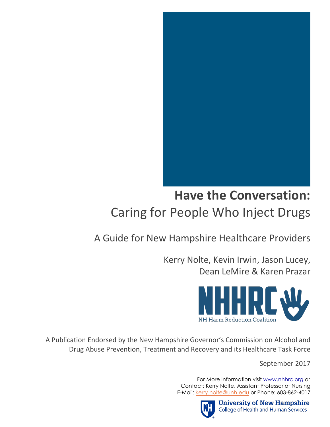

# **Have the Conversation:** Caring for People Who Inject Drugs

## A Guide for New Hampshire Healthcare Providers

Kerry Nolte, Kevin Irwin, Jason Lucey, Dean LeMire & Karen Prazar



A Publication Endorsed by the New Hampshire Governor's Commission on Alcohol and Drug Abuse Prevention, Treatment and Recovery and its Healthcare Task Force

September 2017

 For More Information visit www.nhhrc.org or Contact: Kerry Nolte, Assistant Professor of Nursing E-Mail: kerry.nolte@unh.edu or Phone: 603-862-4017



**University of New Hampshire College of Health and Human Services**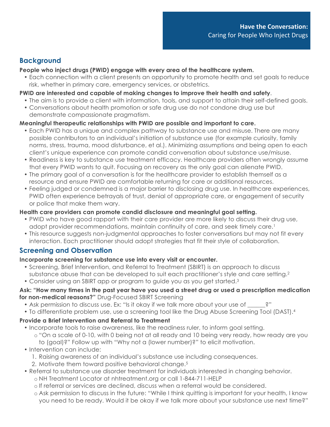## **Background**

#### **People who inject drugs (PWID) engage with every area of the healthcare system.**

• Each connection with a client presents an opportunity to promote health and set goals to reduce risk, whether in primary care, emergency services, or obstetrics.

#### **PWID are interested and capable of making changes to improve their health and safety**.

- The aim is to provide a client with information, tools, and support to attain their self-defined goals.
- Conversations about health promotion or safe drug use do not condone drug use but demonstrate compassionate pragmatism.

#### **Meaningful therapeutic relationships with PWID are possible and important to care.**

- Each PWID has a unique and complex pathway to substance use and misuse. There are many possible contributors to an individual's initiation of substance use (for example curiosity, family norms, stress, trauma, mood disturbance, et al.). Minimizing assumptions and being open to each client's unique experience can promote candid conversation about substance use/misuse.
- Readiness is key to substance use treatment efficacy. Healthcare providers often wrongly assume that every PWID wants to quit. Focusing on recovery as the only goal can alienate PWID.
- The primary goal of a conversation is for the healthcare provider to establish themself as a resource and ensure PWID are comfortable returning for care or additional resources.
- Feeling judged or condemned is a major barrier to disclosing drug use. In healthcare experiences, PWID often experience betrayals of trust, denial of appropriate care, or engagement of security or police that make them wary.

#### **Health care providers can promote candid disclosure and meaningful goal setting.**

- PWID who have good rapport with their care provider are more likely to discuss their drug use, adopt provider recommendations, maintain continuity of care, and seek timely care.<sup>1</sup>
- This resource suggests non-judgmental approaches to foster conversations but may not fit every interaction. Each practitioner should adopt strategies that fit their style of collaboration.

## **Screening and Observation**

#### **Incorporate screening for substance use into every visit or encounter.**

- Screening, Brief Intervention, and Referral to Treatment (SBIRT) is an approach to discuss substance abuse that can be developed to suit each practitioner's style and care setting. 2
- Consider using an SBIRT app or program to guide you as you get started.3

#### **Ask: "How many times in the past year have you used a street drug or used a prescription medication for non-medical reasons?"** Drug-Focused SBIRT Screening

- Ask permission to discuss use. Ex: "Is it okay if we talk more about your use of  $\hspace{1cm}$ ?"
- To differentiate problem use, use a screening tool like the Drug Abuse Screening Tool (DAST).4

#### **Provide a Brief Intervention and Referral to Treatment**

- Incorporate tools to raise awareness, like the readiness ruler, to inform goal setting. o "On a scale of 0-10, with 0 being not at all ready and 10 being very ready, how ready are you to (goal)?" Follow up with "Why not a (lower number)?" to elicit motivation.
- Intervention can include:
	- 1. Raising awareness of an individual's substance use including consequences.
	- 2. Motivate them toward positive behavioral change.<sup>5</sup>
- Referral to substance use disorder treatment for individuals interested in changing behavior.
	- o NH Treatment Locator at nhtreatment.org or call 1-844-711-HELP
	- o If referral or services are declined, discuss when a referral would be considered.
	- o Ask permission to discuss in the future: "While I think quitting is important for your health, I know you need to be ready. Would it be okay if we talk more about your substance use next time?"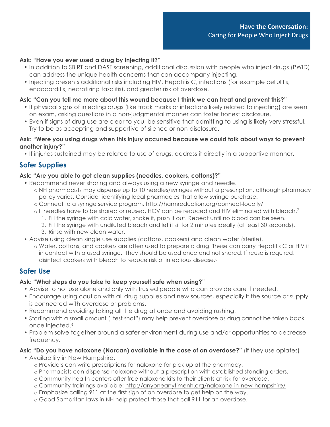#### **Ask: "Have you ever used a drug by injecting it?"**

- In addition to SBIRT and DAST screening, additional discussion with people who inject drugs (PWID) can address the unique health concerns that can accompany injecting.
- Injecting presents additional risks including HIV, Hepatitis C, infections (for example cellulitis, endocarditis, necrotizing fasciitis), and greater risk of overdose.

#### **Ask: "Can you tell me more about this wound because I think we can treat and prevent this?"**

- If physical signs of injecting drugs (like track marks or infections likely related to injecting) are seen on exam, asking questions in a non-judgmental manner can foster honest disclosure.
- Even if signs of drug use are clear to you, be sensitive that admitting to using is likely very stressful. Try to be as accepting and supportive of silence or non-disclosure.

#### **Ask: "Were you using drugs when this injury occurred because we could talk about ways to prevent another injury?"**

• If injuries sustained may be related to use of drugs, address it directly in a supportive manner.

## **Safer Supplies**

#### **Ask: "Are you able to get clean supplies (needles, cookers, cottons)?"**

- Recommend never sharing and always using a new syringe and needle.
	- o NH pharmacists may dispense up to 10 needles/syringes without a prescription, although pharmacy policy varies. Consider identifying local pharmacies that allow syringe purchase.
	- o Connect to a syringe service program. http://harmreduction.org/connect-locally/
	- o If needles have to be shared or reused, HCV can be reduced and HIV eliminated with bleach.<sup>7</sup>
		- 1. Fill the syringe with cold water, shake it, push it out. Repeat until no blood can be seen.
		- 2. Fill the syringe with undiluted bleach and let it sit for 2 minutes ideally (at least 30 seconds).
		- 3. Rinse with new clean water.
- Advise using clean single use supplies (cottons, cookers) and clean water (sterile).
	- o Water, cottons, and cookers are often used to prepare a drug. These can carry Hepatitis C or HIV if in contact with a used syringe. They should be used once and not shared. If reuse is required, disinfect cookers with bleach to reduce risk of infectious disease.8

#### **Safer Use**

#### **Ask: "What steps do you take to keep yourself safe when using?"**

- Advise to not use alone and only with trusted people who can provide care if needed.
- Encourage using caution with all drug supplies and new sources, especially if the source or supply is connected with overdose or problems.
- Recommend avoiding taking all the drug at once and avoiding rushing.
- Starting with a small amount ("test shot") may help prevent overdose as drug cannot be taken back once injected.<sup>6</sup>
- Problem solve together around a safer environment during use and/or opportunities to decrease frequency.

#### **Ask: "Do you have naloxone (Narcan) available in the case of an overdose?"** (if they use opiates)

- Availability in New Hampshire:
	- o Providers can write prescriptions for naloxone for pick up at the pharmacy.
	- o Pharmacists can dispense naloxone without a prescription with established standing orders.
	- o Community health centers offer free naloxone kits to their clients at risk for overdose.
	- o Community trainings available: http://anyoneanytimenh.org/naloxone-in-new-hampshire/
	- o Emphasize calling 911 at the first sign of an overdose to get help on the way.
	- o Good Samaritan laws in NH help protect those that call 911 for an overdose.